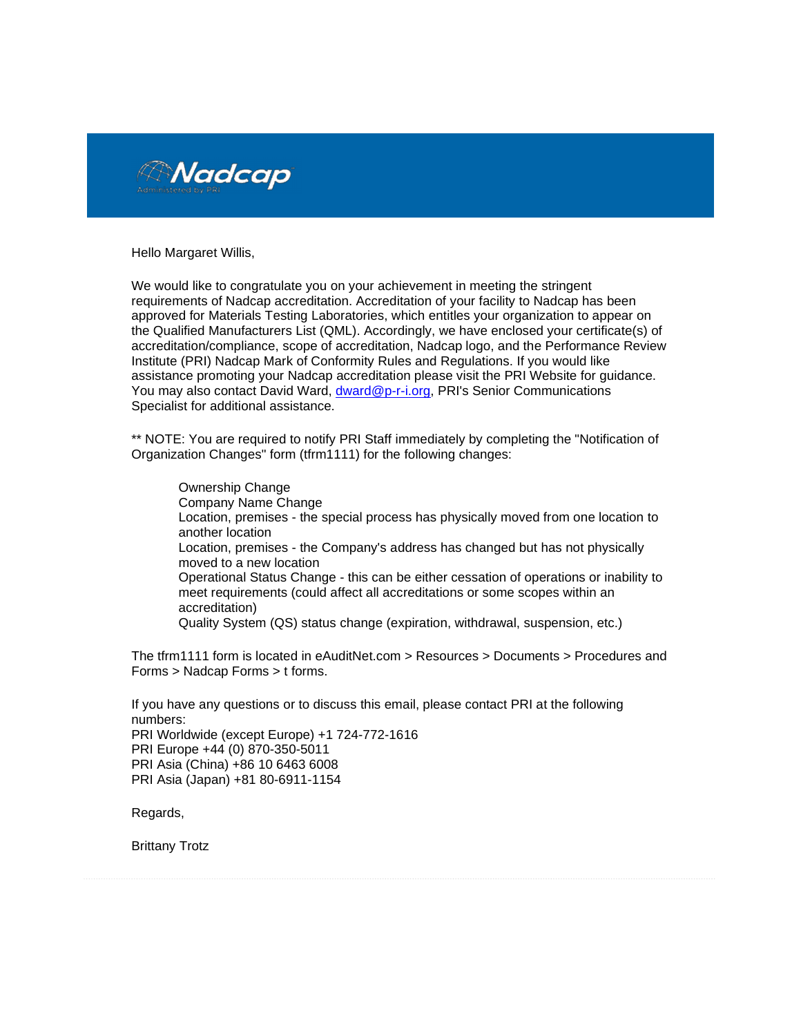

Hello Margaret Willis,

We would like to congratulate you on your achievement in meeting the stringent requirements of Nadcap accreditation. Accreditation of your facility to Nadcap has been approved for Materials Testing Laboratories, which entitles your organization to appear on the Qualified Manufacturers List (QML). Accordingly, we have enclosed your certificate(s) of accreditation/compliance, scope of accreditation, Nadcap logo, and the Performance Review Institute (PRI) Nadcap Mark of Conformity Rules and Regulations. If you would like assistance promoting your Nadcap accreditation please visit the PRI Website for guidance. You may also contact David Ward, dward@p-r-i.org, PRI's Senior Communications Specialist for additional assistance.

\*\* NOTE: You are required to notify PRI Staff immediately by completing the "Notification of Organization Changes" form (tfrm1111) for the following changes:

- Ownership Change
- Company Name Change
- Location, premises the special process has physically moved from one location to another location
- Location, premises the Company's address has changed but has not physically moved to a new location
- Operational Status Change this can be either cessation of operations or inability to meet requirements (could affect all accreditations or some scopes within an accreditation)
- Quality System (QS) status change (expiration, withdrawal, suspension, etc.) ä,

The tfrm1111 form is located in eAuditNet.com > Resources > Documents > Procedures and Forms > Nadcap Forms > t forms.

If you have any questions or to discuss this email, please contact PRI at the following numbers: PRI Worldwide (except Europe) +1 724-772-1616 PRI Europe +44 (0) 870-350-5011 PRI Asia (China) +86 10 6463 6008 PRI Asia (Japan) +81 80-6911-1154

Regards,

Brittany Trotz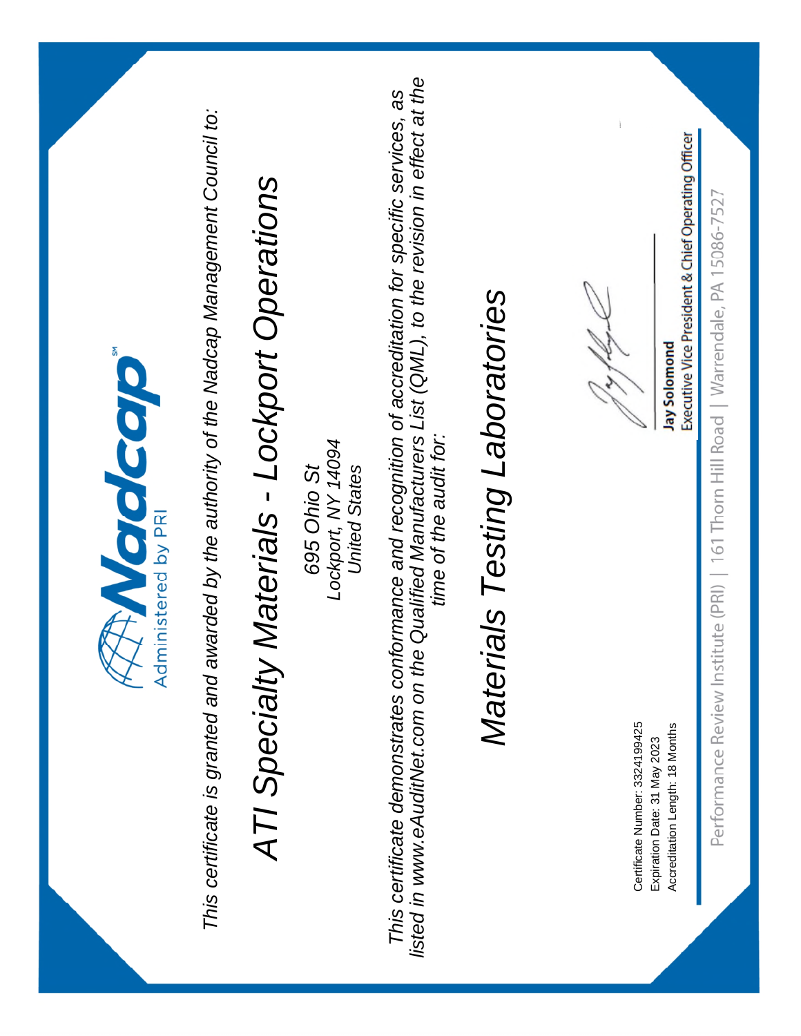